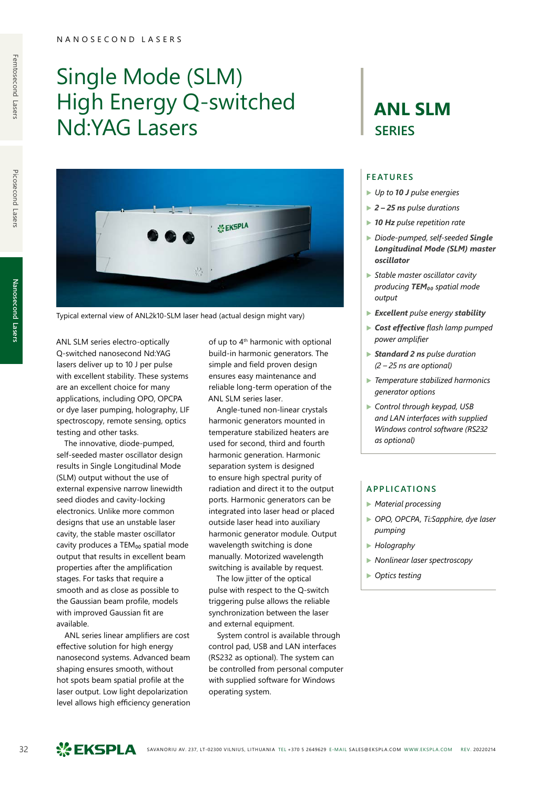# Single Mode (SLM) High Energy Q-switched Nd:YAG Lasers



Typical external view of ANL2k10-SLM laser head (actual design might vary)

ANL SLM series electro-optically Q-switched nanosecond Nd:YAG lasers deliver up to 10 J per pulse with excellent stability. These systems are an excellent choice for many applications, including OPO, OPCPA or dye laser pumping, holography, LIF spectroscopy, remote sensing, optics testing and other tasks.

The innovative, diode-pumped, self-seeded master oscillator design results in Single Longitudinal Mode (SLM) output without the use of external expensive narrow linewidth seed diodes and cavity-locking electronics. Unlike more common designs that use an unstable laser cavity, the stable master oscillator cavity produces a TEM<sub>00</sub> spatial mode output that results in excellent beam properties after the amplification stages. For tasks that require a smooth and as close as possible to the Gaussian beam profile, models with improved Gaussian fit are available.

ANL series linear amplifiers are cost effective solution for high energy nanosecond systems. Advanced beam shaping ensures smooth, without hot spots beam spatial profile at the laser output. Low light depolarization level allows high efficiency generation

of up to 4<sup>th</sup> harmonic with optional build-in harmonic generators. The simple and field proven design ensures easy maintenance and reliable long-term operation of the ANL SLM series laser.

Angle-tuned non-linear crystals harmonic generators mounted in temperature stabilized heaters are used for second, third and fourth harmonic generation. Harmonic separation system is designed to ensure high spectral purity of radiation and direct it to the output ports. Harmonic generators can be integrated into laser head or placed outside laser head into auxiliary harmonic generator module. Output wavelength switching is done manually. Motorized wavelength switching is available by request.

The low jitter of the optical pulse with respect to the Q-switch triggering pulse allows the reliable synchronization between the laser and external equipment.

System control is available through control pad, USB and LAN interfaces (RS232 as optional). The system can be controlled from personal computer with supplied software for Windows operating system.

# **ANL SLM SERIES**

#### **FEATURES**

- ▶ *Up to 10 J pulse energies*
- ▶ *2 25 ns pulse durations*
- ▶ *10 Hz pulse repetition rate*
- ▶ *Diode-pumped, self-seeded Single Longitudinal Mode (SLM) master oscillator*
- ▶ *Stable master oscillator cavity producing TEM₀₀ spatial mode output*
- ▶ *Excellent pulse energy stability*
- ▶ *Cost effective flash lamp pumped power amplifier*
- ▶ *Standard 2 ns pulse duration (2 – 25 ns are optional)*
- ▶ *Temperature stabilized harmonics generator options*
- ▶ *Control through keypad, USB and LAN interfaces with supplied Windows control software (RS232 as optional)*

### **APPLICATIONS**

- ▶ *Material processing*
- ▶ *OPO, OPCPA, Ti:Sapphire, dye laser pumping*
- ▶ *Holography*
- ▶ *Nonlinear laser spectroscopy*
- ▶ *Optics testing*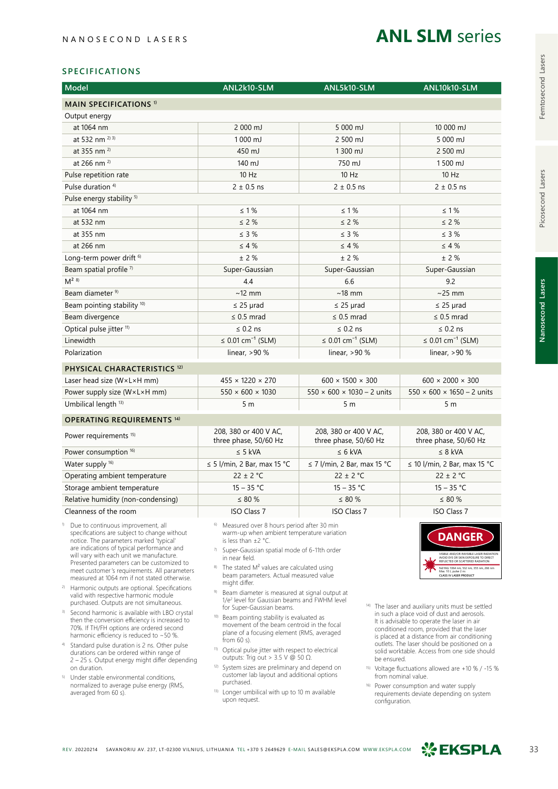# **ANL SLM** series

### **SPECIFICATIONS**

| <b>Model</b>                            | ANL2k10-SLM                                    | ANL5k10-SLM                                    | ANL10k10-SLM                                   |  |  |  |  |  |
|-----------------------------------------|------------------------------------------------|------------------------------------------------|------------------------------------------------|--|--|--|--|--|
| <b>MAIN SPECIFICATIONS 1)</b>           |                                                |                                                |                                                |  |  |  |  |  |
| Output energy                           |                                                |                                                |                                                |  |  |  |  |  |
| at 1064 nm                              | $2000 \text{ mJ}$                              | 5 000 mJ                                       | 10 000 mJ                                      |  |  |  |  |  |
| at 532 nm $^{2(3)}$                     | 1000 mJ                                        | 2 500 mJ                                       | 5 000 mJ                                       |  |  |  |  |  |
| at 355 nm <sup>2)</sup>                 | 450 mJ                                         | 1300 mJ                                        | 2 500 mJ                                       |  |  |  |  |  |
| at 266 nm <sup>2)</sup>                 | 140 mJ                                         | 750 mJ                                         | 1500 mJ                                        |  |  |  |  |  |
| Pulse repetition rate                   | 10 Hz                                          | $10$ Hz                                        | 10 Hz                                          |  |  |  |  |  |
| Pulse duration <sup>4)</sup>            | $2 \pm 0.5$ ns                                 | $2 \pm 0.5$ ns                                 | $2 \pm 0.5$ ns                                 |  |  |  |  |  |
| Pulse energy stability <sup>5)</sup>    |                                                |                                                |                                                |  |  |  |  |  |
| at 1064 nm                              | $\leq 1\%$                                     | $\leq 1\%$                                     | $\leq 1\%$                                     |  |  |  |  |  |
| at 532 nm                               | $\leq$ 2 %                                     | $\leq 2\%$                                     | $\leq$ 2 %                                     |  |  |  |  |  |
| at 355 nm                               | $\leq$ 3 %                                     | $\leq$ 3 %                                     | $\leq$ 3 %                                     |  |  |  |  |  |
| at 266 nm                               | $\leq 4\%$                                     | $\leq 4\%$                                     | $\leq 4\%$                                     |  |  |  |  |  |
| Long-term power drift <sup>6)</sup>     | ± 2%                                           | ± 2%                                           | ± 2%                                           |  |  |  |  |  |
| Beam spatial profile <sup>7)</sup>      | Super-Gaussian                                 | Super-Gaussian                                 | Super-Gaussian                                 |  |  |  |  |  |
| $M^{2}$ 8)                              | 4.4                                            | 6.6                                            | 9.2                                            |  |  |  |  |  |
| Beam diameter <sup>9)</sup>             | $~12$ mm                                       | $~18$ mm                                       | $\sim$ 25 mm                                   |  |  |  |  |  |
| Beam pointing stability 10)             | $\leq$ 25 µrad                                 | $\leq$ 25 µrad                                 | $\leq$ 25 µrad                                 |  |  |  |  |  |
| Beam divergence                         | $\leq$ 0.5 mrad                                | $\leq$ 0.5 mrad                                | $\leq$ 0.5 mrad                                |  |  |  |  |  |
| Optical pulse jitter <sup>11)</sup>     | $\leq$ 0.2 ns                                  | $\leq$ 0.2 ns                                  | $\leq$ 0.2 ns                                  |  |  |  |  |  |
| Linewidth                               | ≤ 0.01 cm <sup>-1</sup> (SLM)                  | ≤ 0.01 cm <sup>-1</sup> (SLM)                  | ≤ 0.01 cm <sup>-1</sup> (SLM)                  |  |  |  |  |  |
| Polarization                            | linear, $>90%$                                 | linear, $>90%$                                 | linear, $>90%$                                 |  |  |  |  |  |
| PHYSICAL CHARACTERISTICS <sup>12)</sup> |                                                |                                                |                                                |  |  |  |  |  |
| Laser head size (WxLxH mm)              | $455 \times 1220 \times 270$                   | $600 \times 1500 \times 300$                   | $600 \times 2000 \times 300$                   |  |  |  |  |  |
| Power supply size (W×L×H mm)            | $550 \times 600 \times 1030$                   | $550 \times 600 \times 1030 - 2$ units         | $550 \times 600 \times 1650 - 2$ units         |  |  |  |  |  |
| Umbilical length <sup>13)</sup>         | 5 <sub>m</sub>                                 | 5 <sub>m</sub>                                 | 5 <sub>m</sub>                                 |  |  |  |  |  |
| <b>OPERATING REQUIREMENTS 14)</b>       |                                                |                                                |                                                |  |  |  |  |  |
| Power requirements <sup>15)</sup>       | 208, 380 or 400 V AC,<br>three phase, 50/60 Hz | 208, 380 or 400 V AC,<br>three phase, 50/60 Hz | 208, 380 or 400 V AC,<br>three phase, 50/60 Hz |  |  |  |  |  |
| Power consumption <sup>16)</sup>        | $\leq$ 5 kVA                                   | $\leq 6$ kVA                                   | $\leq$ 8 kVA                                   |  |  |  |  |  |
| Water supply <sup>16)</sup>             | $\leq$ 5 l/min, 2 Bar, max 15 °C               | $\leq$ 7 l/min, 2 Bar, max 15 °C               | $\leq$ 10 l/min, 2 Bar, max 15 °C              |  |  |  |  |  |
| Operating ambient temperature           | $22 \pm 2$ °C                                  | $22 \pm 2$ °C                                  | $22 \pm 2$ °C                                  |  |  |  |  |  |
| Storage ambient temperature             | $15 - 35 °C$                                   | $15 - 35 °C$                                   | $15 - 35 °C$                                   |  |  |  |  |  |
| Relative humidity (non-condensing)      | $\leq 80 \%$                                   | $\leq$ 80 $\%$                                 | $\leq 80 \%$                                   |  |  |  |  |  |
| Cleanness of the room                   | <b>ISO Class 7</b>                             | <b>ISO Class 7</b>                             | <b>ISO Class 7</b>                             |  |  |  |  |  |

<sup>1)</sup> Due to continuous improvement, all

- specifications are subject to change without notice. The parameters marked 'typical' are indications of typical performance and will vary with each unit we manufacture. Presented parameters can be customized to meet customer's requirements. All parameters measured at 1064 nm if not stated otherwise.
- 2) Harmonic outputs are optional. Specifications valid with respective harmonic module purchased. Outputs are not simultaneous.
- 3) Second harmonic is available with LBO crystal then the conversion efficiency is increased to 70%. If TH/FH options are ordered second harmonic efficiency is reduced to ~50 %.
- 4) Standard pulse duration is 2 ns. Other pulse durations can be ordered within range of 2 – 25 s. Output energy might differ depending on duration.
- 5) Under stable environmental conditions, normalized to average pulse energy (RMS, averaged from 60 s).
- 6) Measured over 8 hours period after 30 min warm-up when ambient temperature variation is less than ±2 °C.
- 7) Super-Gaussian spatial mode of 6-11th order in near field.
- 8) The stated M<sup>2</sup> values are calculated using beam parameters. Actual measured value might differ.
- <sup>9)</sup> Beam diameter is measured at signal output at  $1/e<sup>2</sup>$  level for Gaussian beams and FWHM level for Super-Gaussian beams.
- 10) Beam pointing stability is evaluated as movement of the beam centroid in the focal plane of a focusing element (RMS, averaged from 60 s).
- 11) Optical pulse jitter with respect to electrical outputs: Trig out > 3.5 V @ 50 Ω.
- 12) System sizes are preliminary and depend on customer lab layout and additional options purchased.
- 13) Longer umbilical with up to 10 m available upon request.



- 14) The laser and auxiliary units must be settled in such a place void of dust and aerosols. It is advisable to operate the laser in air conditioned room, provided that the laser is placed at a distance from air conditioning outlets. The laser should be positioned on a solid worktable. Access from one side should be ensured.
- Voltage fluctuations allowed are +10 % / -15 % from nominal value.
- 16) Power consumption and water supply requirements deviate depending on system configuration.

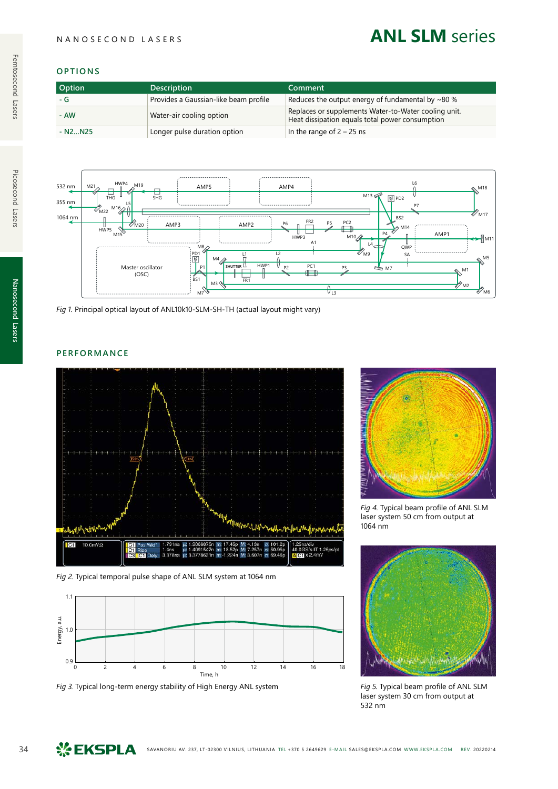# **ANL SLM** series

## **OPTIONS**

| <b>Option</b> | <b>Description</b>                    | Comment                                                                                                 |
|---------------|---------------------------------------|---------------------------------------------------------------------------------------------------------|
| - G           | Provides a Gaussian-like beam profile | Reduces the output energy of fundamental by $\sim$ 80 %                                                 |
| - AW          | Water-air cooling option              | Replaces or supplements Water-to-Water cooling unit.<br>Heat dissipation equals total power consumption |
| $-N2N25$      | Longer pulse duration option          | In the range of $2 - 25$ ns                                                                             |



*Fig 1.* Principal optical layout of ANL10k10-SLM-SH-TH (actual layout might vary)

# **PERFORMANCE**



*Fig 2.* Typical temporal pulse shape of ANL SLM system at 1064 nm



*Fig 3.* Typical long-term energy stability of High Energy ANL system *Fig 5.* Typical beam profile of ANL SLM



*Fig 4.* Typical beam profile of ANL SLM laser system 50 cm from output at 1064 nm



laser system 30 cm from output at 532 nm